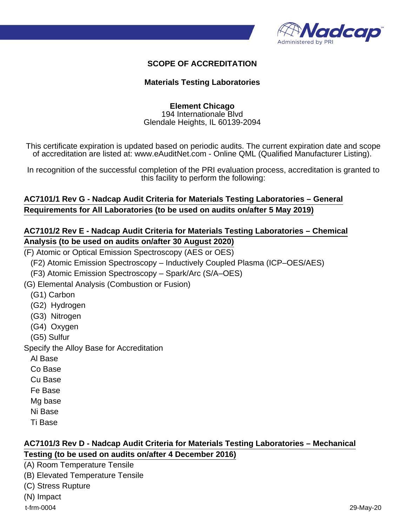

#### **SCOPE OF ACCREDITATION**

#### **Materials Testing Laboratories**

#### **Element Chicago** 194 Internationale Blvd Glendale Heights, IL 60139-2094

This certificate expiration is updated based on periodic audits. The current expiration date and scope of accreditation are listed at: www.eAuditNet.com - Online QML (Qualified Manufacturer Listing).

In recognition of the successful completion of the PRI evaluation process, accreditation is granted to this facility to perform the following:

#### **AC7101/1 Rev G - Nadcap Audit Criteria for Materials Testing Laboratories – General Requirements for All Laboratories (to be used on audits on/after 5 May 2019)**

#### **AC7101/2 Rev E - Nadcap Audit Criteria for Materials Testing Laboratories – Chemical Analysis (to be used on audits on/after 30 August 2020)**

(F) Atomic or Optical Emission Spectroscopy (AES or OES)

(F2) Atomic Emission Spectroscopy – Inductively Coupled Plasma (ICP–OES/AES)

(F3) Atomic Emission Spectroscopy – Spark/Arc (S/A–OES)

(G) Elemental Analysis (Combustion or Fusion)

(G1) Carbon

- (G2) Hydrogen
- (G3) Nitrogen
- (G4) Oxygen

(G5) Sulfur

Specify the Alloy Base for Accreditation

Al Base

Co Base

Cu Base

Fe Base

Mg base

Ni Base

Ti Base

#### **AC7101/3 Rev D - Nadcap Audit Criteria for Materials Testing Laboratories – Mechanical Testing (to be used on audits on/after 4 December 2016)**

(A) Room Temperature Tensile

(B) Elevated Temperature Tensile

(C) Stress Rupture

(N) Impact

t-frm-0004 29-May-20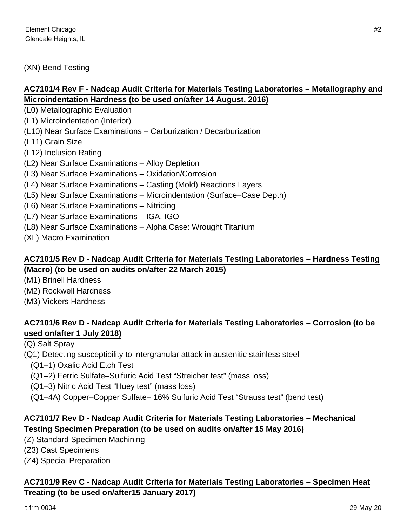(XN) Bend Testing

# **AC7101/4 Rev F - Nadcap Audit Criteria for Materials Testing Laboratories – Metallography and Microindentation Hardness (to be used on/after 14 August, 2016)**

(L0) Metallographic Evaluation

(L1) Microindentation (Interior)

(L10) Near Surface Examinations – Carburization / Decarburization

(L11) Grain Size

(L12) Inclusion Rating

(L2) Near Surface Examinations – Alloy Depletion

(L3) Near Surface Examinations – Oxidation/Corrosion

(L4) Near Surface Examinations – Casting (Mold) Reactions Layers

- (L5) Near Surface Examinations Microindentation (Surface–Case Depth)
- (L6) Near Surface Examinations Nitriding

(L7) Near Surface Examinations – IGA, IGO

(L8) Near Surface Examinations – Alpha Case: Wrought Titanium

(XL) Macro Examination

## **AC7101/5 Rev D - Nadcap Audit Criteria for Materials Testing Laboratories – Hardness Testing (Macro) (to be used on audits on/after 22 March 2015)**

(M1) Brinell Hardness

(M2) Rockwell Hardness

(M3) Vickers Hardness

# **AC7101/6 Rev D - Nadcap Audit Criteria for Materials Testing Laboratories – Corrosion (to be used on/after 1 July 2018)**

(Q) Salt Spray

(Q1) Detecting susceptibility to intergranular attack in austenitic stainless steel

(Q1–1) Oxalic Acid Etch Test

(Q1–2) Ferric Sulfate–Sulfuric Acid Test "Streicher test" (mass loss)

(Q1–3) Nitric Acid Test "Huey test" (mass loss)

(Q1–4A) Copper–Copper Sulfate– 16% Sulfuric Acid Test "Strauss test" (bend test)

# **AC7101/7 Rev D - Nadcap Audit Criteria for Materials Testing Laboratories – Mechanical Testing Specimen Preparation (to be used on audits on/after 15 May 2016)**

(Z) Standard Specimen Machining

(Z3) Cast Specimens

(Z4) Special Preparation

## **AC7101/9 Rev C - Nadcap Audit Criteria for Materials Testing Laboratories – Specimen Heat Treating (to be used on/after15 January 2017)**